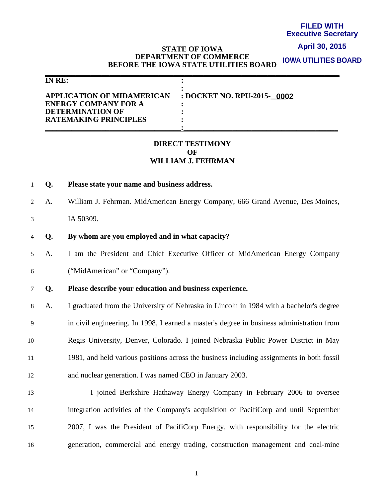#### **FILED WITH Executive Secretary**

### **April 30, 2015**

#### **STATE OF IOWA DEPARTMENT OF COMMERCE BEFORE THE IOWA STATE UTILITIES BOARD IOWA UTILITIES BOARD**

| IN RE:                                                                                                                      |                            |
|-----------------------------------------------------------------------------------------------------------------------------|----------------------------|
| <b>APPLICATION OF MIDAMERICAN</b><br><b>ENERGY COMPANY FOR A</b><br><b>DETERMINATION OF</b><br><b>RATEMAKING PRINCIPLES</b> | : DOCKET NO. RPU-2015-0002 |

# **DIRECT TESTIMONY OF WILLIAM J. FEHRMAN**

- 1 **Q. Please state your name and business address.**
- 2 A. William J. Fehrman. MidAmerican Energy Company, 666 Grand Avenue, Des Moines,
- 3 IA 50309.
- 4 **Q. By whom are you employed and in what capacity?**
- 5 A. I am the President and Chief Executive Officer of MidAmerican Energy Company 6 ("MidAmerican" or "Company").
- 
- 7 **Q. Please describe your education and business experience.**

8 A. I graduated from the University of Nebraska in Lincoln in 1984 with a bachelor's degree 9 in civil engineering. In 1998, I earned a master's degree in business administration from 10 Regis University, Denver, Colorado. I joined Nebraska Public Power District in May 11 1981, and held various positions across the business including assignments in both fossil 12 and nuclear generation. I was named CEO in January 2003.

13 I joined Berkshire Hathaway Energy Company in February 2006 to oversee 14 integration activities of the Company's acquisition of PacifiCorp and until September 15 2007, I was the President of PacifiCorp Energy, with responsibility for the electric 16 generation, commercial and energy trading, construction management and coal-mine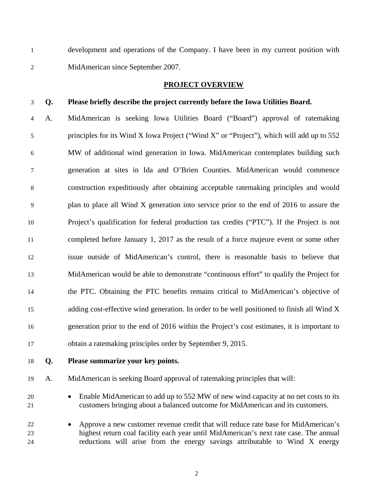1 development and operations of the Company. I have been in my current position with 2 MidAmerican since September 2007.

## **PROJECT OVERVIEW**

# 3 **Q. Please briefly describe the project currently before the Iowa Utilities Board.**

4 A. MidAmerican is seeking Iowa Utilities Board ("Board") approval of ratemaking 5 principles for its Wind X Iowa Project ("Wind X" or "Project"), which will add up to 552 6 MW of additional wind generation in Iowa. MidAmerican contemplates building such 7 generation at sites in Ida and O'Brien Counties. MidAmerican would commence 8 construction expeditiously after obtaining acceptable ratemaking principles and would 9 plan to place all Wind X generation into service prior to the end of 2016 to assure the 10 Project's qualification for federal production tax credits ("PTC"). If the Project is not 11 completed before January 1, 2017 as the result of a force majeure event or some other 12 issue outside of MidAmerican's control, there is reasonable basis to believe that 13 MidAmerican would be able to demonstrate "continuous effort" to qualify the Project for 14 the PTC. Obtaining the PTC benefits remains critical to MidAmerican's objective of 15 adding cost-effective wind generation. In order to be well positioned to finish all Wind X 16 generation prior to the end of 2016 within the Project's cost estimates, it is important to 17 obtain a ratemaking principles order by September 9, 2015.

18 **Q. Please summarize your key points.** 

19 A. MidAmerican is seeking Board approval of ratemaking principles that will:

20 • Enable MidAmerican to add up to 552 MW of new wind capacity at no net costs to its 21 customers bringing about a balanced outcome for MidAmerican and its customers.

22 • Approve a new customer revenue credit that will reduce rate base for MidAmerican's 23 highest return coal facility each year until MidAmerican's next rate case. The annual 24 reductions will arise from the energy savings attributable to Wind X energy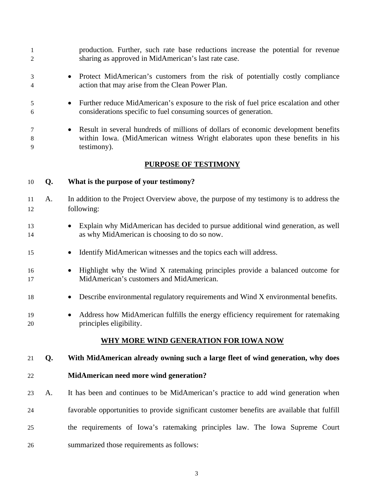| 1<br>$\overline{2}$ |    | production. Further, such rate base reductions increase the potential for revenue<br>sharing as approved in MidAmerican's last rate case.                                                        |
|---------------------|----|--------------------------------------------------------------------------------------------------------------------------------------------------------------------------------------------------|
| 3<br>4              |    | Protect MidAmerican's customers from the risk of potentially costly compliance<br>$\bullet$<br>action that may arise from the Clean Power Plan.                                                  |
| 5<br>6              |    | Further reduce MidAmerican's exposure to the risk of fuel price escalation and other<br>$\bullet$<br>considerations specific to fuel consuming sources of generation.                            |
| 7<br>8<br>9         |    | Result in several hundreds of millions of dollars of economic development benefits<br>$\bullet$<br>within Iowa. (MidAmerican witness Wright elaborates upon these benefits in his<br>testimony). |
|                     |    | <b>PURPOSE OF TESTIMONY</b>                                                                                                                                                                      |
| 10                  | Q. | What is the purpose of your testimony?                                                                                                                                                           |
| 11<br>12            | A. | In addition to the Project Overview above, the purpose of my testimony is to address the<br>following:                                                                                           |
| 13<br>14            |    | Explain why MidAmerican has decided to pursue additional wind generation, as well<br>$\bullet$<br>as why MidAmerican is choosing to do so now.                                                   |
| 15                  |    | Identify MidAmerican witnesses and the topics each will address.<br>$\bullet$                                                                                                                    |
| 16<br>17            |    | Highlight why the Wind X ratemaking principles provide a balanced outcome for<br>$\bullet$<br>MidAmerican's customers and MidAmerican.                                                           |
| 18                  |    | Describe environmental regulatory requirements and Wind X environmental benefits.<br>$\bullet$                                                                                                   |
| 19<br>20            |    | Address how MidAmerican fulfills the energy efficiency requirement for ratemaking<br>$\bullet$<br>principles eligibility.                                                                        |
|                     |    | <u>WHY MORE WIND GENERATION FOR IOWA NOW</u>                                                                                                                                                     |
| 21                  | Q. | With MidAmerican already owning such a large fleet of wind generation, why does                                                                                                                  |
| 22                  |    | MidAmerican need more wind generation?                                                                                                                                                           |
| 23                  | A. | It has been and continues to be MidAmerican's practice to add wind generation when                                                                                                               |
| 24                  |    | favorable opportunities to provide significant customer benefits are available that fulfill                                                                                                      |
| 25                  |    | the requirements of Iowa's ratemaking principles law. The Iowa Supreme Court                                                                                                                     |
| 26                  |    | summarized those requirements as follows:                                                                                                                                                        |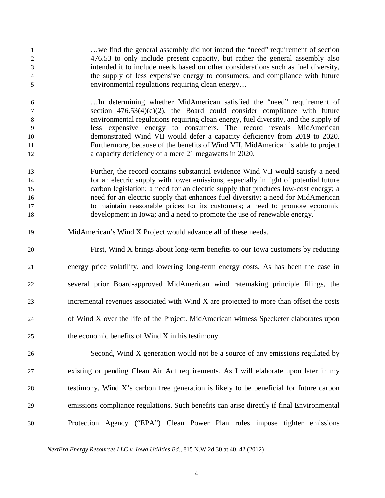1 …we find the general assembly did not intend the "need" requirement of section 2 476.53 to only include present capacity, but rather the general assembly also 3 intended it to include needs based on other considerations such as fuel diversity, 4 the supply of less expensive energy to consumers, and compliance with future 5 environmental regulations requiring clean energy…

6 …In determining whether MidAmerican satisfied the "need" requirement of 7 section 476.53(4)(c)(2), the Board could consider compliance with future 8 environmental regulations requiring clean energy, fuel diversity, and the supply of 9 less expensive energy to consumers. The record reveals MidAmerican 10 demonstrated Wind VII would defer a capacity deficiency from 2019 to 2020. 11 Furthermore, because of the benefits of Wind VII, MidAmerican is able to project 12 a capacity deficiency of a mere 21 megawatts in 2020.

- 13 Further, the record contains substantial evidence Wind VII would satisfy a need 14 for an electric supply with lower emissions, especially in light of potential future 15 carbon legislation; a need for an electric supply that produces low-cost energy; a 16 need for an electric supply that enhances fuel diversity; a need for MidAmerican 17 to maintain reasonable prices for its customers; a need to promote economic development in Iowa; and a need to promote the use of renewable energy.<sup>1</sup>
- 19 MidAmerican's Wind X Project would advance all of these needs.

20 First, Wind X brings about long-term benefits to our Iowa customers by reducing 21 energy price volatility, and lowering long-term energy costs. As has been the case in 22 several prior Board-approved MidAmerican wind ratemaking principle filings, the 23 incremental revenues associated with Wind X are projected to more than offset the costs 24 of Wind X over the life of the Project. MidAmerican witness Specketer elaborates upon 25 the economic benefits of Wind X in his testimony.

26 Second, Wind X generation would not be a source of any emissions regulated by 27 existing or pending Clean Air Act requirements. As I will elaborate upon later in my 28 testimony, Wind X's carbon free generation is likely to be beneficial for future carbon 29 emissions compliance regulations. Such benefits can arise directly if final Environmental 30 Protection Agency ("EPA") Clean Power Plan rules impose tighter emissions

<sup>-</sup><sup>1</sup>NextEra Energy Resources LLC v. Iowa Utilities Bd., 815 N.W.2d 30 at 40, 42 (2012)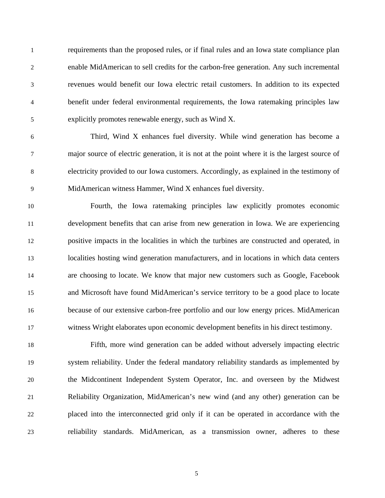1 requirements than the proposed rules, or if final rules and an Iowa state compliance plan 2 enable MidAmerican to sell credits for the carbon-free generation. Any such incremental 3 revenues would benefit our Iowa electric retail customers. In addition to its expected 4 benefit under federal environmental requirements, the Iowa ratemaking principles law 5 explicitly promotes renewable energy, such as Wind X.

6 Third, Wind X enhances fuel diversity. While wind generation has become a 7 major source of electric generation, it is not at the point where it is the largest source of 8 electricity provided to our Iowa customers. Accordingly, as explained in the testimony of 9 MidAmerican witness Hammer, Wind X enhances fuel diversity.

10 Fourth, the Iowa ratemaking principles law explicitly promotes economic 11 development benefits that can arise from new generation in Iowa. We are experiencing 12 positive impacts in the localities in which the turbines are constructed and operated, in 13 localities hosting wind generation manufacturers, and in locations in which data centers 14 are choosing to locate. We know that major new customers such as Google, Facebook 15 and Microsoft have found MidAmerican's service territory to be a good place to locate 16 because of our extensive carbon-free portfolio and our low energy prices. MidAmerican 17 witness Wright elaborates upon economic development benefits in his direct testimony.

18 Fifth, more wind generation can be added without adversely impacting electric 19 system reliability. Under the federal mandatory reliability standards as implemented by 20 the Midcontinent Independent System Operator, Inc. and overseen by the Midwest 21 Reliability Organization, MidAmerican's new wind (and any other) generation can be 22 placed into the interconnected grid only if it can be operated in accordance with the 23 reliability standards. MidAmerican, as a transmission owner, adheres to these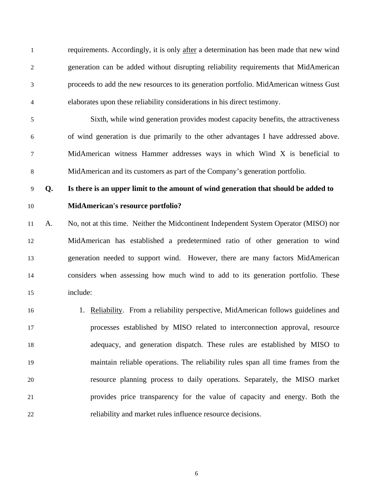1 requirements. Accordingly, it is only after a determination has been made that new wind 2 generation can be added without disrupting reliability requirements that MidAmerican 3 proceeds to add the new resources to its generation portfolio. MidAmerican witness Gust 4 elaborates upon these reliability considerations in his direct testimony.

5 Sixth, while wind generation provides modest capacity benefits, the attractiveness 6 of wind generation is due primarily to the other advantages I have addressed above. 7 MidAmerican witness Hammer addresses ways in which Wind X is beneficial to 8 MidAmerican and its customers as part of the Company's generation portfolio.

9 **Q. Is there is an upper limit to the amount of wind generation that should be added to**  10 **MidAmerican's resource portfolio?** 

11 A. No, not at this time. Neither the Midcontinent Independent System Operator (MISO) nor 12 MidAmerican has established a predetermined ratio of other generation to wind 13 generation needed to support wind. However, there are many factors MidAmerican 14 considers when assessing how much wind to add to its generation portfolio. These 15 include:

16 16 1. Reliability. From a reliability perspective, MidAmerican follows guidelines and 17 processes established by MISO related to interconnection approval, resource 18 adequacy, and generation dispatch. These rules are established by MISO to 19 maintain reliable operations. The reliability rules span all time frames from the 20 resource planning process to daily operations. Separately, the MISO market 21 provides price transparency for the value of capacity and energy. Both the 22 reliability and market rules influence resource decisions.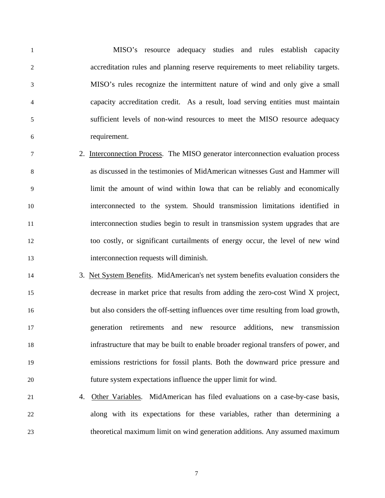1 MISO's resource adequacy studies and rules establish capacity 2 accreditation rules and planning reserve requirements to meet reliability targets. 3 MISO's rules recognize the intermittent nature of wind and only give a small 4 capacity accreditation credit. As a result, load serving entities must maintain 5 sufficient levels of non-wind resources to meet the MISO resource adequacy 6 requirement.

- 7 2. Interconnection Process. The MISO generator interconnection evaluation process 8 as discussed in the testimonies of MidAmerican witnesses Gust and Hammer will 9 limit the amount of wind within Iowa that can be reliably and economically 10 interconnected to the system. Should transmission limitations identified in 11 interconnection studies begin to result in transmission system upgrades that are 12 too costly, or significant curtailments of energy occur, the level of new wind 13 interconnection requests will diminish.
- 14 3. Net System Benefits. MidAmerican's net system benefits evaluation considers the 15 decrease in market price that results from adding the zero-cost Wind X project, 16 but also considers the off-setting influences over time resulting from load growth, 17 generation retirements and new resource additions, new transmission 18 infrastructure that may be built to enable broader regional transfers of power, and 19 emissions restrictions for fossil plants. Both the downward price pressure and 20 future system expectations influence the upper limit for wind.
- 21 4. Other Variables. MidAmerican has filed evaluations on a case-by-case basis, 22 along with its expectations for these variables, rather than determining a 23 theoretical maximum limit on wind generation additions. Any assumed maximum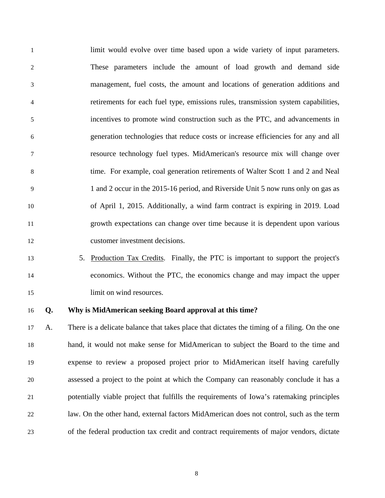1 limit would evolve over time based upon a wide variety of input parameters. 2 These parameters include the amount of load growth and demand side 3 management, fuel costs, the amount and locations of generation additions and 4 retirements for each fuel type, emissions rules, transmission system capabilities, 5 incentives to promote wind construction such as the PTC, and advancements in 6 generation technologies that reduce costs or increase efficiencies for any and all 7 resource technology fuel types. MidAmerican's resource mix will change over 8 time. For example, coal generation retirements of Walter Scott 1 and 2 and Neal 9 1 and 2 occur in the 2015-16 period, and Riverside Unit 5 now runs only on gas as 10 of April 1, 2015. Additionally, a wind farm contract is expiring in 2019. Load 11 growth expectations can change over time because it is dependent upon various 12 customer investment decisions.

13 5. Production Tax Credits. Finally, the PTC is important to support the project's 14 economics. Without the PTC, the economics change and may impact the upper 15 limit on wind resources.

### 16 **Q. Why is MidAmerican seeking Board approval at this time?**

17 A. There is a delicate balance that takes place that dictates the timing of a filing. On the one 18 hand, it would not make sense for MidAmerican to subject the Board to the time and 19 expense to review a proposed project prior to MidAmerican itself having carefully 20 assessed a project to the point at which the Company can reasonably conclude it has a 21 potentially viable project that fulfills the requirements of Iowa's ratemaking principles 22 law. On the other hand, external factors MidAmerican does not control, such as the term 23 of the federal production tax credit and contract requirements of major vendors, dictate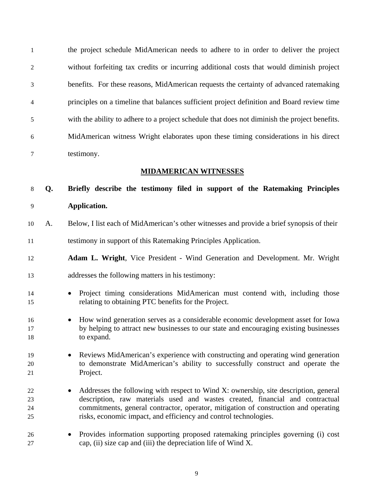1 the project schedule MidAmerican needs to adhere to in order to deliver the project 2 without forfeiting tax credits or incurring additional costs that would diminish project 3 benefits. For these reasons, MidAmerican requests the certainty of advanced ratemaking 4 principles on a timeline that balances sufficient project definition and Board review time 5 with the ability to adhere to a project schedule that does not diminish the project benefits. 6 MidAmerican witness Wright elaborates upon these timing considerations in his direct 7 testimony.

### **MIDAMERICAN WITNESSES**

8 **Q. Briefly describe the testimony filed in support of the Ratemaking Principles**  9 **Application.** 

- 10 A. Below, I list each of MidAmerican's other witnesses and provide a brief synopsis of their 11 testimony in support of this Ratemaking Principles Application.
- 12 **Adam L. Wright**, Vice President Wind Generation and Development. Mr. Wright
- 13 addresses the following matters in his testimony:
- 14 Project timing considerations MidAmerican must contend with, including those 15 relating to obtaining PTC benefits for the Project.
- 16 How wind generation serves as a considerable economic development asset for Iowa 17 by helping to attract new businesses to our state and encouraging existing businesses 18 to expand.
- 19 Reviews MidAmerican's experience with constructing and operating wind generation 20 to demonstrate MidAmerican's ability to successfully construct and operate the 21 Project.
- <sup>22</sup> Addresses the following with respect to Wind X: ownership, site description, general 23 description, raw materials used and wastes created, financial and contractual 24 commitments, general contractor, operator, mitigation of construction and operating 25 risks, economic impact, and efficiency and control technologies.
- 26 Provides information supporting proposed ratemaking principles governing (i) cost 27 cap, (ii) size cap and (iii) the depreciation life of Wind X.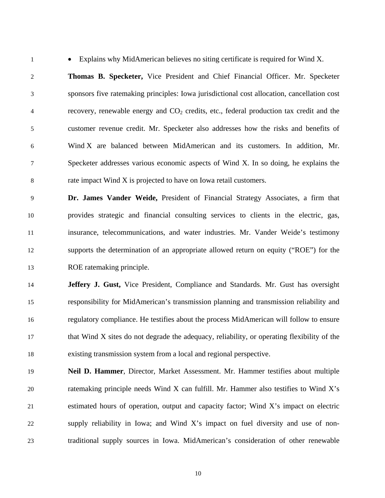1 • Explains why MidAmerican believes no siting certificate is required for Wind X.

2 **Thomas B. Specketer,** Vice President and Chief Financial Officer. Mr. Specketer 3 sponsors five ratemaking principles: Iowa jurisdictional cost allocation, cancellation cost 4 recovery, renewable energy and  $CO<sub>2</sub>$  credits, etc., federal production tax credit and the 5 customer revenue credit. Mr. Specketer also addresses how the risks and benefits of 6 Wind X are balanced between MidAmerican and its customers. In addition, Mr. 7 Specketer addresses various economic aspects of Wind X. In so doing, he explains the 8 rate impact Wind X is projected to have on Iowa retail customers.

9 **Dr. James Vander Weide,** President of Financial Strategy Associates, a firm that 10 provides strategic and financial consulting services to clients in the electric, gas, 11 insurance, telecommunications, and water industries. Mr. Vander Weide's testimony 12 supports the determination of an appropriate allowed return on equity ("ROE") for the 13 ROE ratemaking principle.

14 **Jeffery J. Gust,** Vice President, Compliance and Standards. Mr. Gust has oversight 15 responsibility for MidAmerican's transmission planning and transmission reliability and 16 regulatory compliance. He testifies about the process MidAmerican will follow to ensure 17 that Wind X sites do not degrade the adequacy, reliability, or operating flexibility of the 18 existing transmission system from a local and regional perspective.

19 **Neil D. Hammer**, Director, Market Assessment. Mr. Hammer testifies about multiple 20 ratemaking principle needs Wind X can fulfill. Mr. Hammer also testifies to Wind X's 21 estimated hours of operation, output and capacity factor; Wind X's impact on electric 22 supply reliability in Iowa; and Wind X's impact on fuel diversity and use of non-23 traditional supply sources in Iowa. MidAmerican's consideration of other renewable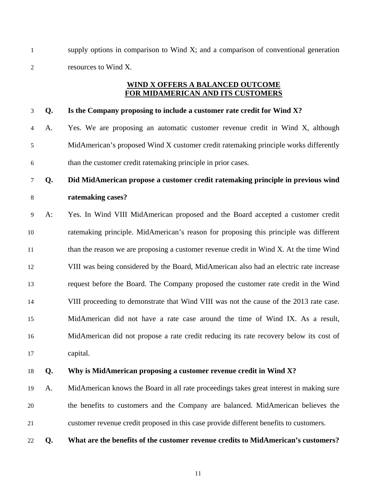1 supply options in comparison to Wind X; and a comparison of conventional generation 2 resources to Wind X.

# **WIND X OFFERS A BALANCED OUTCOME FOR MIDAMERICAN AND ITS CUSTOMERS**

## 3 **Q. Is the Company proposing to include a customer rate credit for Wind X?**

4 A. Yes. We are proposing an automatic customer revenue credit in Wind X, although 5 MidAmerican's proposed Wind X customer credit ratemaking principle works differently 6 than the customer credit ratemaking principle in prior cases.

# 7 **Q. Did MidAmerican propose a customer credit ratemaking principle in previous wind**  8 **ratemaking cases?**

9 A: Yes. In Wind VIII MidAmerican proposed and the Board accepted a customer credit 10 ratemaking principle. MidAmerican's reason for proposing this principle was different 11 than the reason we are proposing a customer revenue credit in Wind X. At the time Wind 12 VIII was being considered by the Board, MidAmerican also had an electric rate increase 13 request before the Board. The Company proposed the customer rate credit in the Wind 14 VIII proceeding to demonstrate that Wind VIII was not the cause of the 2013 rate case. 15 MidAmerican did not have a rate case around the time of Wind IX. As a result, 16 MidAmerican did not propose a rate credit reducing its rate recovery below its cost of 17 capital.

### 18 **Q. Why is MidAmerican proposing a customer revenue credit in Wind X?**

- 19 A. MidAmerican knows the Board in all rate proceedings takes great interest in making sure 20 the benefits to customers and the Company are balanced. MidAmerican believes the 21 customer revenue credit proposed in this case provide different benefits to customers.
- 22 **Q. What are the benefits of the customer revenue credits to MidAmerican's customers?**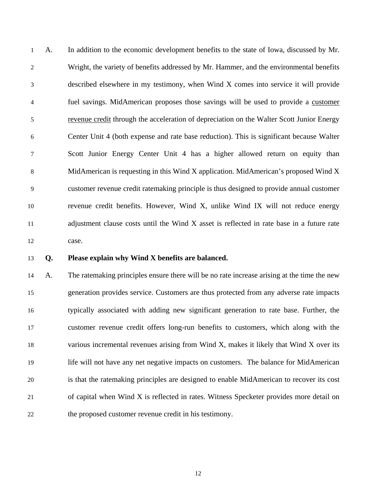1 A. In addition to the economic development benefits to the state of Iowa, discussed by Mr. 2 Wright, the variety of benefits addressed by Mr. Hammer, and the environmental benefits 3 described elsewhere in my testimony, when Wind X comes into service it will provide 4 fuel savings. MidAmerican proposes those savings will be used to provide a customer 5 revenue credit through the acceleration of depreciation on the Walter Scott Junior Energy 6 Center Unit 4 (both expense and rate base reduction). This is significant because Walter 7 Scott Junior Energy Center Unit 4 has a higher allowed return on equity than 8 MidAmerican is requesting in this Wind X application. MidAmerican's proposed Wind X 9 customer revenue credit ratemaking principle is thus designed to provide annual customer 10 revenue credit benefits. However, Wind X, unlike Wind IX will not reduce energy 11 adjustment clause costs until the Wind X asset is reflected in rate base in a future rate 12 case.

### 13 **Q. Please explain why Wind X benefits are balanced.**

14 A. The ratemaking principles ensure there will be no rate increase arising at the time the new 15 generation provides service. Customers are thus protected from any adverse rate impacts 16 typically associated with adding new significant generation to rate base. Further, the 17 customer revenue credit offers long-run benefits to customers, which along with the 18 various incremental revenues arising from Wind X, makes it likely that Wind X over its 19 life will not have any net negative impacts on customers. The balance for MidAmerican 20 is that the ratemaking principles are designed to enable MidAmerican to recover its cost 21 of capital when Wind X is reflected in rates. Witness Specketer provides more detail on 22 the proposed customer revenue credit in his testimony.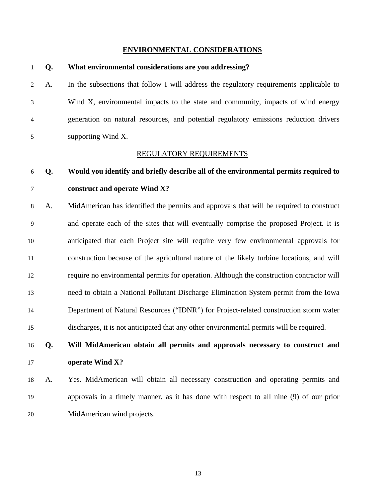#### **ENVIRONMENTAL CONSIDERATIONS**

1 **Q. What environmental considerations are you addressing?** 

2 A. In the subsections that follow I will address the regulatory requirements applicable to 3 Wind X, environmental impacts to the state and community, impacts of wind energy 4 generation on natural resources, and potential regulatory emissions reduction drivers 5 supporting Wind X. REGULATORY REQUIREMENTS 6 **Q. Would you identify and briefly describe all of the environmental permits required to**  7 **construct and operate Wind X?**  8 A. MidAmerican has identified the permits and approvals that will be required to construct 9 and operate each of the sites that will eventually comprise the proposed Project. It is 10 anticipated that each Project site will require very few environmental approvals for 11 construction because of the agricultural nature of the likely turbine locations, and will 12 require no environmental permits for operation. Although the construction contractor will 13 need to obtain a National Pollutant Discharge Elimination System permit from the Iowa 14 Department of Natural Resources ("IDNR") for Project-related construction storm water 15 discharges, it is not anticipated that any other environmental permits will be required. 16 **Q. Will MidAmerican obtain all permits and approvals necessary to construct and**  17 **operate Wind X?**  18 A. Yes. MidAmerican will obtain all necessary construction and operating permits and 19 approvals in a timely manner, as it has done with respect to all nine (9) of our prior 20 MidAmerican wind projects.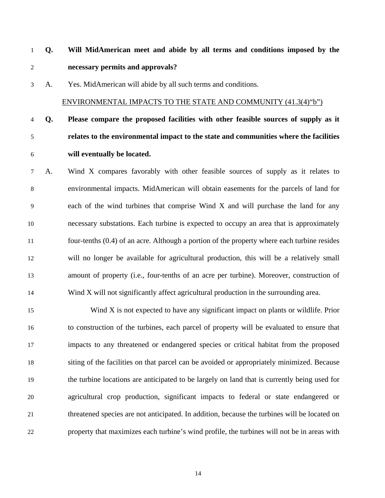- 1 **Q. Will MidAmerican meet and abide by all terms and conditions imposed by the**  2 **necessary permits and approvals?**
- 3 A. Yes. MidAmerican will abide by all such terms and conditions.

### ENVIRONMENTAL IMPACTS TO THE STATE AND COMMUNITY (41.3(4)"b")

# 4 **Q. Please compare the proposed facilities with other feasible sources of supply as it**  5 **relates to the environmental impact to the state and communities where the facilities**  6 **will eventually be located.**

7 A. Wind X compares favorably with other feasible sources of supply as it relates to 8 environmental impacts. MidAmerican will obtain easements for the parcels of land for 9 each of the wind turbines that comprise Wind X and will purchase the land for any 10 necessary substations. Each turbine is expected to occupy an area that is approximately 11 four-tenths (0.4) of an acre. Although a portion of the property where each turbine resides 12 will no longer be available for agricultural production, this will be a relatively small 13 amount of property (i.e., four-tenths of an acre per turbine). Moreover, construction of 14 Wind X will not significantly affect agricultural production in the surrounding area.

15 Wind X is not expected to have any significant impact on plants or wildlife. Prior 16 to construction of the turbines, each parcel of property will be evaluated to ensure that 17 impacts to any threatened or endangered species or critical habitat from the proposed 18 siting of the facilities on that parcel can be avoided or appropriately minimized. Because 19 the turbine locations are anticipated to be largely on land that is currently being used for 20 agricultural crop production, significant impacts to federal or state endangered or 21 threatened species are not anticipated. In addition, because the turbines will be located on 22 property that maximizes each turbine's wind profile, the turbines will not be in areas with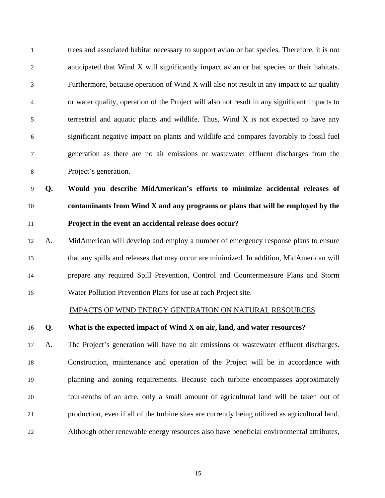1 trees and associated habitat necessary to support avian or bat species. Therefore, it is not 2 anticipated that Wind X will significantly impact avian or bat species or their habitats. 3 Furthermore, because operation of Wind X will also not result in any impact to air quality 4 or water quality, operation of the Project will also not result in any significant impacts to 5 terrestrial and aquatic plants and wildlife. Thus, Wind X is not expected to have any 6 significant negative impact on plants and wildlife and compares favorably to fossil fuel 7 generation as there are no air emissions or wastewater effluent discharges from the 8 Project's generation.

9 **Q. Would you describe MidAmerican's efforts to minimize accidental releases of**  10 **contaminants from Wind X and any programs or plans that will be employed by the**  11 **Project in the event an accidental release does occur?** 

12 A. MidAmerican will develop and employ a number of emergency response plans to ensure 13 that any spills and releases that may occur are minimized. In addition, MidAmerican will 14 prepare any required Spill Prevention, Control and Countermeasure Plans and Storm 15 Water Pollution Prevention Plans for use at each Project site.

#### IMPACTS OF WIND ENERGY GENERATION ON NATURAL RESOURCES

#### 16 **Q. What is the expected impact of Wind X on air, land, and water resources?**

17 A. The Project's generation will have no air emissions or wastewater effluent discharges. 18 Construction, maintenance and operation of the Project will be in accordance with 19 planning and zoning requirements. Because each turbine encompasses approximately 20 four-tenths of an acre, only a small amount of agricultural land will be taken out of 21 production, even if all of the turbine sites are currently being utilized as agricultural land. 22 Although other renewable energy resources also have beneficial environmental attributes,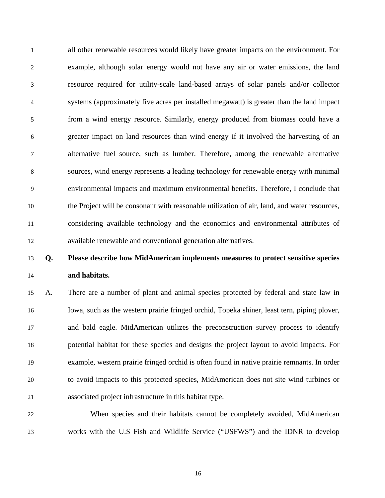1 all other renewable resources would likely have greater impacts on the environment. For 2 example, although solar energy would not have any air or water emissions, the land 3 resource required for utility-scale land-based arrays of solar panels and/or collector 4 systems (approximately five acres per installed megawatt) is greater than the land impact 5 from a wind energy resource. Similarly, energy produced from biomass could have a 6 greater impact on land resources than wind energy if it involved the harvesting of an 7 alternative fuel source, such as lumber. Therefore, among the renewable alternative 8 sources, wind energy represents a leading technology for renewable energy with minimal 9 environmental impacts and maximum environmental benefits. Therefore, I conclude that 10 the Project will be consonant with reasonable utilization of air, land, and water resources, 11 considering available technology and the economics and environmental attributes of 12 available renewable and conventional generation alternatives.

# 13 **Q. Please describe how MidAmerican implements measures to protect sensitive species**  14 **and habitats.**

15 A. There are a number of plant and animal species protected by federal and state law in 16 Iowa, such as the western prairie fringed orchid, Topeka shiner, least tern, piping plover, 17 and bald eagle. MidAmerican utilizes the preconstruction survey process to identify 18 potential habitat for these species and designs the project layout to avoid impacts. For 19 example, western prairie fringed orchid is often found in native prairie remnants. In order 20 to avoid impacts to this protected species, MidAmerican does not site wind turbines or 21 associated project infrastructure in this habitat type.

22 When species and their habitats cannot be completely avoided, MidAmerican 23 works with the U.S Fish and Wildlife Service ("USFWS") and the IDNR to develop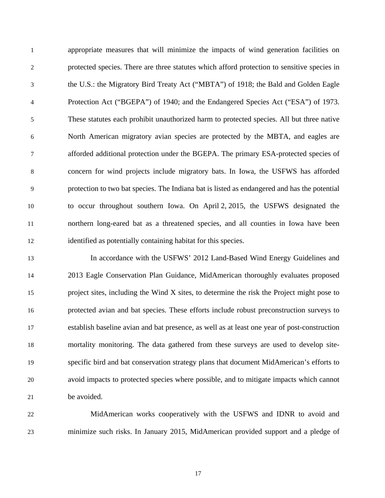1 appropriate measures that will minimize the impacts of wind generation facilities on 2 protected species. There are three statutes which afford protection to sensitive species in 3 the U.S.: the Migratory Bird Treaty Act ("MBTA") of 1918; the Bald and Golden Eagle 4 Protection Act ("BGEPA") of 1940; and the Endangered Species Act ("ESA") of 1973. 5 These statutes each prohibit unauthorized harm to protected species. All but three native 6 North American migratory avian species are protected by the MBTA, and eagles are 7 afforded additional protection under the BGEPA. The primary ESA-protected species of 8 concern for wind projects include migratory bats. In Iowa, the USFWS has afforded 9 protection to two bat species. The Indiana bat is listed as endangered and has the potential 10 to occur throughout southern Iowa. On April 2, 2015, the USFWS designated the 11 northern long-eared bat as a threatened species, and all counties in Iowa have been 12 identified as potentially containing habitat for this species.

13 In accordance with the USFWS' 2012 Land-Based Wind Energy Guidelines and 14 2013 Eagle Conservation Plan Guidance, MidAmerican thoroughly evaluates proposed 15 project sites, including the Wind X sites, to determine the risk the Project might pose to 16 protected avian and bat species. These efforts include robust preconstruction surveys to 17 establish baseline avian and bat presence, as well as at least one year of post-construction 18 mortality monitoring. The data gathered from these surveys are used to develop site-19 specific bird and bat conservation strategy plans that document MidAmerican's efforts to 20 avoid impacts to protected species where possible, and to mitigate impacts which cannot 21 be avoided.

22 MidAmerican works cooperatively with the USFWS and IDNR to avoid and 23 minimize such risks. In January 2015, MidAmerican provided support and a pledge of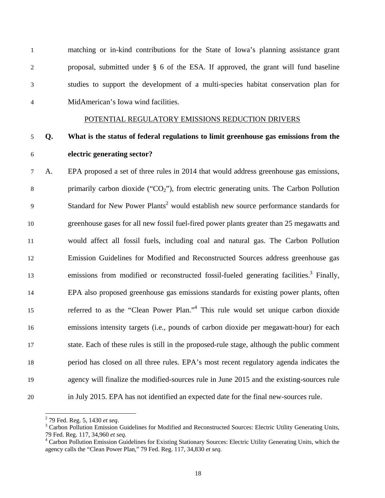| $\mathbf{1}$   |    | matching or in-kind contributions for the State of Iowa's planning assistance grant                 |
|----------------|----|-----------------------------------------------------------------------------------------------------|
| $\overline{2}$ |    | proposal, submitted under § 6 of the ESA. If approved, the grant will fund baseline                 |
| 3              |    | studies to support the development of a multi-species habitat conservation plan for                 |
| $\overline{4}$ |    | MidAmerican's Iowa wind facilities.                                                                 |
|                |    | POTENTIAL REGULATORY EMISSIONS REDUCTION DRIVERS                                                    |
| 5              | Q. | What is the status of federal regulations to limit greenhouse gas emissions from the                |
| 6              |    | electric generating sector?                                                                         |
| 7              | A. | EPA proposed a set of three rules in 2014 that would address greenhouse gas emissions,              |
| $8\,$          |    | primarily carbon dioxide (" $CO2$ "), from electric generating units. The Carbon Pollution          |
| 9              |    | Standard for New Power Plants <sup>2</sup> would establish new source performance standards for     |
| 10             |    | greenhouse gases for all new fossil fuel-fired power plants greater than 25 megawatts and           |
| 11             |    | would affect all fossil fuels, including coal and natural gas. The Carbon Pollution                 |
| 12             |    | Emission Guidelines for Modified and Reconstructed Sources address greenhouse gas                   |
| 13             |    | emissions from modified or reconstructed fossil-fueled generating facilities. <sup>3</sup> Finally, |
| 14             |    | EPA also proposed greenhouse gas emissions standards for existing power plants, often               |
| 15             |    | referred to as the "Clean Power Plan." <sup>4</sup> This rule would set unique carbon dioxide       |
| 16             |    | emissions intensity targets (i.e., pounds of carbon dioxide per megawatt-hour) for each             |
| 17             |    | state. Each of these rules is still in the proposed-rule stage, although the public comment         |
| 18             |    | period has closed on all three rules. EPA's most recent regulatory agenda indicates the             |
| 19             |    | agency will finalize the modified-sources rule in June 2015 and the existing-sources rule           |
| 20             |    | in July 2015. EPA has not identified an expected date for the final new-sources rule.               |

<sup>&</sup>lt;sup>2</sup> 79 Fed. Reg. 5, 1430 *et seq*.<br><sup>3</sup> Carbon Pollution Emission Guidelines for Modified and Reconstructed Sources: Electric Utility Generating Units, 79 Fed. Reg. 117, 34,960 *et seq.* 4 Carbon Pollution Emission Guidelines for Existing Stationary Sources: Electric Utility Generating Units, which the

agency calls the "Clean Power Plan," 79 Fed. Reg. 117, 34,830 *et seq.*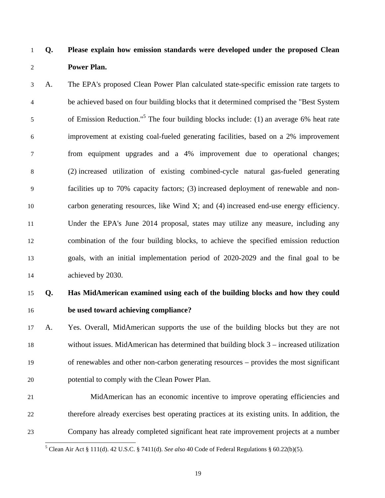-

# 1 **Q. Please explain how emission standards were developed under the proposed Clean**  2 **Power Plan.**

3 A. The EPA's proposed Clean Power Plan calculated state-specific emission rate targets to 4 be achieved based on four building blocks that it determined comprised the "Best System of Emission Reduction."5 5 The four building blocks include: (1) an average 6% heat rate 6 improvement at existing coal-fueled generating facilities, based on a 2% improvement 7 from equipment upgrades and a 4% improvement due to operational changes; 8 (2) increased utilization of existing combined-cycle natural gas-fueled generating 9 facilities up to 70% capacity factors; (3) increased deployment of renewable and non-10 carbon generating resources, like Wind X; and (4) increased end-use energy efficiency. 11 Under the EPA's June 2014 proposal, states may utilize any measure, including any 12 combination of the four building blocks, to achieve the specified emission reduction 13 goals, with an initial implementation period of 2020-2029 and the final goal to be 14 achieved by 2030.

# 15 **Q. Has MidAmerican examined using each of the building blocks and how they could**  16 **be used toward achieving compliance?**

17 A. Yes. Overall, MidAmerican supports the use of the building blocks but they are not 18 without issues. MidAmerican has determined that building block 3 – increased utilization 19 of renewables and other non-carbon generating resources – provides the most significant 20 potential to comply with the Clean Power Plan.

21 MidAmerican has an economic incentive to improve operating efficiencies and 22 therefore already exercises best operating practices at its existing units. In addition, the 23 Company has already completed significant heat rate improvement projects at a number

<sup>&</sup>lt;sup>5</sup> Clean Air Act § 111(d). 42 U.S.C. § 7411(d). *See also* 40 Code of Federal Regulations § 60.22(b)(5).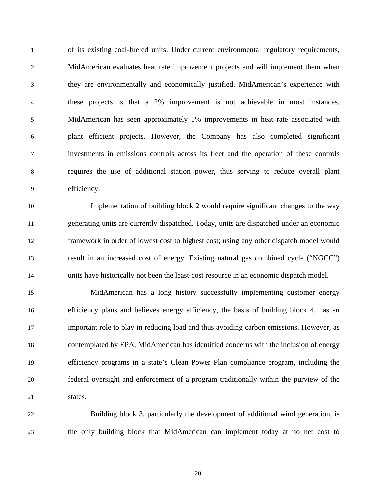1 of its existing coal-fueled units. Under current environmental regulatory requirements, 2 MidAmerican evaluates heat rate improvement projects and will implement them when 3 they are environmentally and economically justified. MidAmerican's experience with 4 these projects is that a 2% improvement is not achievable in most instances. 5 MidAmerican has seen approximately 1% improvements in heat rate associated with 6 plant efficient projects. However, the Company has also completed significant 7 investments in emissions controls across its fleet and the operation of these controls 8 requires the use of additional station power, thus serving to reduce overall plant 9 efficiency.

10 Implementation of building block 2 would require significant changes to the way 11 generating units are currently dispatched. Today, units are dispatched under an economic 12 framework in order of lowest cost to highest cost; using any other dispatch model would 13 result in an increased cost of energy. Existing natural gas combined cycle ("NGCC") 14 units have historically not been the least-cost resource in an economic dispatch model.

15 MidAmerican has a long history successfully implementing customer energy 16 efficiency plans and believes energy efficiency, the basis of building block 4, has an 17 important role to play in reducing load and thus avoiding carbon emissions. However, as 18 contemplated by EPA, MidAmerican has identified concerns with the inclusion of energy 19 efficiency programs in a state's Clean Power Plan compliance program, including the 20 federal oversight and enforcement of a program traditionally within the purview of the 21 states.

22 Building block 3, particularly the development of additional wind generation, is 23 the only building block that MidAmerican can implement today at no net cost to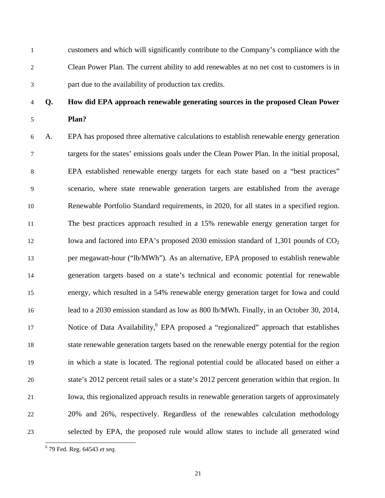1 customers and which will significantly contribute to the Company's compliance with the 2 Clean Power Plan. The current ability to add renewables at no net cost to customers is in 3 part due to the availability of production tax credits.

# 4 **Q. How did EPA approach renewable generating sources in the proposed Clean Power**  5 **Plan?**

6 A. EPA has proposed three alternative calculations to establish renewable energy generation 7 targets for the states' emissions goals under the Clean Power Plan. In the initial proposal, 8 EPA established renewable energy targets for each state based on a "best practices" 9 scenario, where state renewable generation targets are established from the average 10 Renewable Portfolio Standard requirements, in 2020, for all states in a specified region. 11 The best practices approach resulted in a 15% renewable energy generation target for 12 Iowa and factored into EPA's proposed 2030 emission standard of 1,301 pounds of  $CO<sub>2</sub>$ 13 per megawatt-hour ("lb/MWh"). As an alternative, EPA proposed to establish renewable 14 generation targets based on a state's technical and economic potential for renewable 15 energy, which resulted in a 54% renewable energy generation target for Iowa and could 16 lead to a 2030 emission standard as low as 800 lb/MWh. Finally, in an October 30, 2014, 17 Notice of Data Availability,  $6$  EPA proposed a "regionalized" approach that establishes 18 state renewable generation targets based on the renewable energy potential for the region 19 in which a state is located. The regional potential could be allocated based on either a 20 state's 2012 percent retail sales or a state's 2012 percent generation within that region. In 21 Iowa, this regionalized approach results in renewable generation targets of approximately 22 20% and 26%, respectively. Regardless of the renewables calculation methodology 23 selected by EPA, the proposed rule would allow states to include all generated wind

-

<sup>6</sup> 79 Fed. Reg. 64543 *et seq.*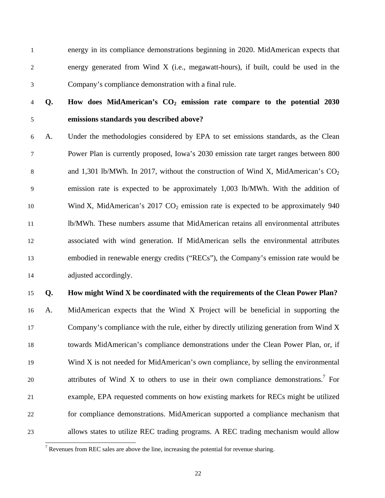1 energy in its compliance demonstrations beginning in 2020. MidAmerican expects that 2 energy generated from Wind X (i.e., megawatt-hours), if built, could be used in the 3 Company's compliance demonstration with a final rule.

-

# 4 **Q. How does MidAmerican's CO2 emission rate compare to the potential 2030**  5 **emissions standards you described above?**

6 A. Under the methodologies considered by EPA to set emissions standards, as the Clean 7 Power Plan is currently proposed, Iowa's 2030 emission rate target ranges between 800 8 and 1,301 lb/MWh. In 2017, without the construction of Wind X, MidAmerican's  $CO<sub>2</sub>$ 9 emission rate is expected to be approximately 1,003 lb/MWh. With the addition of 10 Wind X, MidAmerican's 2017  $CO<sub>2</sub>$  emission rate is expected to be approximately 940 11 lb/MWh. These numbers assume that MidAmerican retains all environmental attributes 12 associated with wind generation. If MidAmerican sells the environmental attributes 13 embodied in renewable energy credits ("RECs"), the Company's emission rate would be 14 adjusted accordingly.

### 15 **Q. How might Wind X be coordinated with the requirements of the Clean Power Plan?**

16 A. MidAmerican expects that the Wind X Project will be beneficial in supporting the 17 Company's compliance with the rule, either by directly utilizing generation from Wind X 18 towards MidAmerican's compliance demonstrations under the Clean Power Plan, or, if 19 Wind X is not needed for MidAmerican's own compliance, by selling the environmental 20 attributes of Wind X to others to use in their own compliance demonstrations.<sup>7</sup> For 21 example, EPA requested comments on how existing markets for RECs might be utilized 22 for compliance demonstrations. MidAmerican supported a compliance mechanism that 23 allows states to utilize REC trading programs. A REC trading mechanism would allow

<sup>&</sup>lt;sup>7</sup> Revenues from REC sales are above the line, increasing the potential for revenue sharing.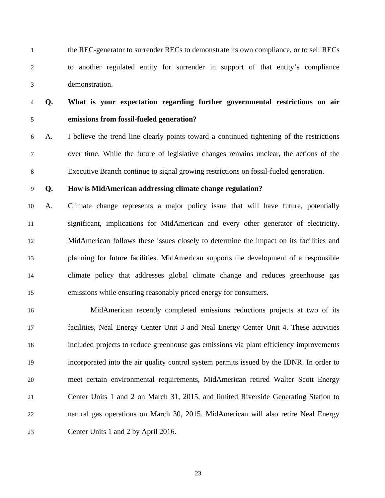1 the REC-generator to surrender RECs to demonstrate its own compliance, or to sell RECs 2 to another regulated entity for surrender in support of that entity's compliance 3 demonstration.

# 4 **Q. What is your expectation regarding further governmental restrictions on air**  5 **emissions from fossil-fueled generation?**

6 A. I believe the trend line clearly points toward a continued tightening of the restrictions 7 over time. While the future of legislative changes remains unclear, the actions of the 8 Executive Branch continue to signal growing restrictions on fossil-fueled generation.

### 9 **Q. How is MidAmerican addressing climate change regulation?**

10 A. Climate change represents a major policy issue that will have future, potentially 11 significant, implications for MidAmerican and every other generator of electricity. 12 MidAmerican follows these issues closely to determine the impact on its facilities and 13 planning for future facilities. MidAmerican supports the development of a responsible 14 climate policy that addresses global climate change and reduces greenhouse gas 15 emissions while ensuring reasonably priced energy for consumers.

16 MidAmerican recently completed emissions reductions projects at two of its 17 facilities, Neal Energy Center Unit 3 and Neal Energy Center Unit 4. These activities 18 included projects to reduce greenhouse gas emissions via plant efficiency improvements 19 incorporated into the air quality control system permits issued by the IDNR. In order to 20 meet certain environmental requirements, MidAmerican retired Walter Scott Energy 21 Center Units 1 and 2 on March 31, 2015, and limited Riverside Generating Station to 22 natural gas operations on March 30, 2015. MidAmerican will also retire Neal Energy 23 Center Units 1 and 2 by April 2016.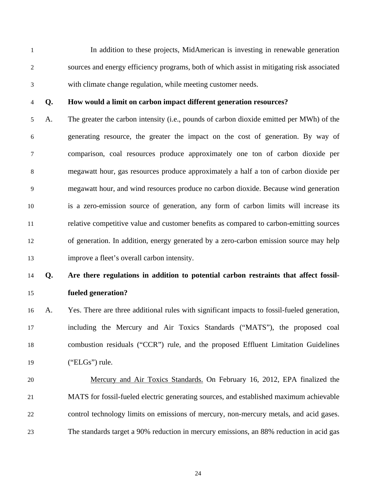1 In addition to these projects, MidAmerican is investing in renewable generation 2 sources and energy efficiency programs, both of which assist in mitigating risk associated 3 with climate change regulation, while meeting customer needs.

#### 4 **Q. How would a limit on carbon impact different generation resources?**

5 A. The greater the carbon intensity (i.e., pounds of carbon dioxide emitted per MWh) of the 6 generating resource, the greater the impact on the cost of generation. By way of 7 comparison, coal resources produce approximately one ton of carbon dioxide per 8 megawatt hour, gas resources produce approximately a half a ton of carbon dioxide per 9 megawatt hour, and wind resources produce no carbon dioxide. Because wind generation 10 is a zero-emission source of generation, any form of carbon limits will increase its 11 relative competitive value and customer benefits as compared to carbon-emitting sources 12 of generation. In addition, energy generated by a zero-carbon emission source may help 13 improve a fleet's overall carbon intensity.

# 14 **Q. Are there regulations in addition to potential carbon restraints that affect fossil-**15 **fueled generation?**

16 A. Yes. There are three additional rules with significant impacts to fossil-fueled generation, 17 including the Mercury and Air Toxics Standards ("MATS"), the proposed coal 18 combustion residuals ("CCR") rule, and the proposed Effluent Limitation Guidelines 19 ("ELGs") rule.

20 Mercury and Air Toxics Standards. On February 16, 2012, EPA finalized the 21 MATS for fossil-fueled electric generating sources, and established maximum achievable 22 control technology limits on emissions of mercury, non-mercury metals, and acid gases. 23 The standards target a 90% reduction in mercury emissions, an 88% reduction in acid gas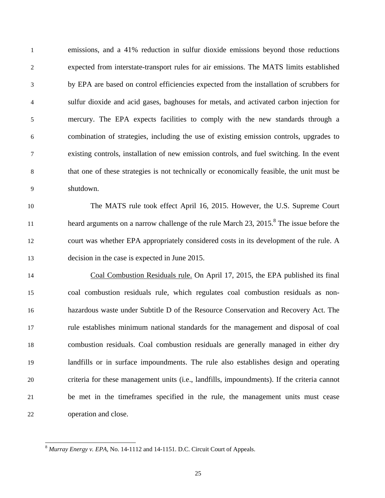1 emissions, and a 41% reduction in sulfur dioxide emissions beyond those reductions 2 expected from interstate-transport rules for air emissions. The MATS limits established 3 by EPA are based on control efficiencies expected from the installation of scrubbers for 4 sulfur dioxide and acid gases, baghouses for metals, and activated carbon injection for 5 mercury. The EPA expects facilities to comply with the new standards through a 6 combination of strategies, including the use of existing emission controls, upgrades to 7 existing controls, installation of new emission controls, and fuel switching. In the event 8 that one of these strategies is not technically or economically feasible, the unit must be 9 shutdown.

10 The MATS rule took effect April 16, 2015. However, the U.S. Supreme Court heard arguments on a narrow challenge of the rule March 23, 2015.<sup>8</sup> The issue before the 12 court was whether EPA appropriately considered costs in its development of the rule. A 13 decision in the case is expected in June 2015.

14 Coal Combustion Residuals rule. On April 17, 2015, the EPA published its final 15 coal combustion residuals rule, which regulates coal combustion residuals as non-16 hazardous waste under Subtitle D of the Resource Conservation and Recovery Act. The 17 rule establishes minimum national standards for the management and disposal of coal 18 combustion residuals. Coal combustion residuals are generally managed in either dry 19 landfills or in surface impoundments. The rule also establishes design and operating 20 criteria for these management units (i.e., landfills, impoundments). If the criteria cannot 21 be met in the timeframes specified in the rule, the management units must cease 22 operation and close.

 $\overline{\phantom{a}}$ 

<sup>8</sup> *Murray Energy v. EPA*, No. 14-1112 and 14-1151. D.C. Circuit Court of Appeals.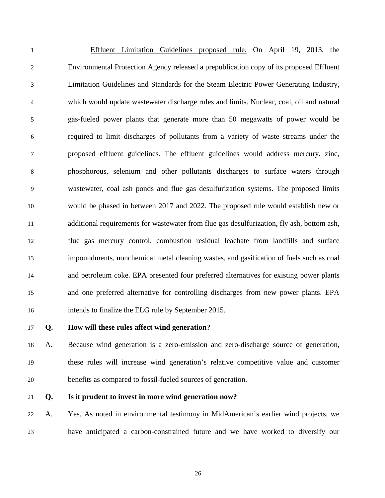1 Effluent Limitation Guidelines proposed rule. On April 19, 2013, the 2 Environmental Protection Agency released a prepublication copy of its proposed Effluent 3 Limitation Guidelines and Standards for the Steam Electric Power Generating Industry, 4 which would update wastewater discharge rules and limits. Nuclear, coal, oil and natural 5 gas-fueled power plants that generate more than 50 megawatts of power would be 6 required to limit discharges of pollutants from a variety of waste streams under the 7 proposed effluent guidelines. The effluent guidelines would address mercury, zinc, 8 phosphorous, selenium and other pollutants discharges to surface waters through 9 wastewater, coal ash ponds and flue gas desulfurization systems. The proposed limits 10 would be phased in between 2017 and 2022. The proposed rule would establish new or 11 additional requirements for wastewater from flue gas desulfurization, fly ash, bottom ash, 12 flue gas mercury control, combustion residual leachate from landfills and surface 13 impoundments, nonchemical metal cleaning wastes, and gasification of fuels such as coal 14 and petroleum coke. EPA presented four preferred alternatives for existing power plants 15 and one preferred alternative for controlling discharges from new power plants. EPA 16 intends to finalize the ELG rule by September 2015.

### 17 **Q. How will these rules affect wind generation?**

18 A. Because wind generation is a zero-emission and zero-discharge source of generation, 19 these rules will increase wind generation's relative competitive value and customer 20 benefits as compared to fossil-fueled sources of generation.

#### 21 **Q. Is it prudent to invest in more wind generation now?**

22 A. Yes. As noted in environmental testimony in MidAmerican's earlier wind projects, we 23 have anticipated a carbon-constrained future and we have worked to diversify our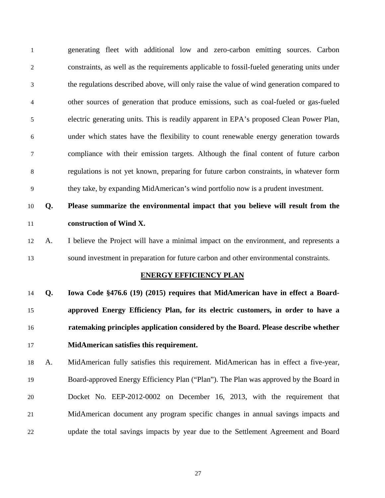1 generating fleet with additional low and zero-carbon emitting sources. Carbon 2 constraints, as well as the requirements applicable to fossil-fueled generating units under 3 the regulations described above, will only raise the value of wind generation compared to 4 other sources of generation that produce emissions, such as coal-fueled or gas-fueled 5 electric generating units. This is readily apparent in EPA's proposed Clean Power Plan, 6 under which states have the flexibility to count renewable energy generation towards 7 compliance with their emission targets. Although the final content of future carbon 8 regulations is not yet known, preparing for future carbon constraints, in whatever form 9 they take, by expanding MidAmerican's wind portfolio now is a prudent investment.

# 10 **Q. Please summarize the environmental impact that you believe will result from the**  11 **construction of Wind X.**

12 A. I believe the Project will have a minimal impact on the environment, and represents a 13 sound investment in preparation for future carbon and other environmental constraints.

#### **ENERGY EFFICIENCY PLAN**

**Q. Iowa Code §476.6 (19) (2015) requires that MidAmerican have in effect a Board-approved Energy Efficiency Plan, for its electric customers, in order to have a ratemaking principles application considered by the Board. Please describe whether MidAmerican satisfies this requirement.**

18 A. MidAmerican fully satisfies this requirement. MidAmerican has in effect a five-year, 19 Board-approved Energy Efficiency Plan ("Plan"). The Plan was approved by the Board in 20 Docket No. EEP-2012-0002 on December 16, 2013, with the requirement that 21 MidAmerican document any program specific changes in annual savings impacts and 22 update the total savings impacts by year due to the Settlement Agreement and Board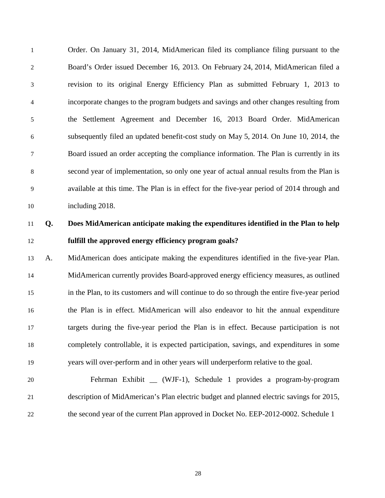1 Order. On January 31, 2014, MidAmerican filed its compliance filing pursuant to the 2 Board's Order issued December 16, 2013. On February 24, 2014, MidAmerican filed a 3 revision to its original Energy Efficiency Plan as submitted February 1, 2013 to 4 incorporate changes to the program budgets and savings and other changes resulting from 5 the Settlement Agreement and December 16, 2013 Board Order. MidAmerican 6 subsequently filed an updated benefit-cost study on May 5, 2014. On June 10, 2014, the 7 Board issued an order accepting the compliance information. The Plan is currently in its 8 second year of implementation, so only one year of actual annual results from the Plan is 9 available at this time. The Plan is in effect for the five-year period of 2014 through and 10 including 2018.

# 11 **Q. Does MidAmerican anticipate making the expenditures identified in the Plan to help**  12 **fulfill the approved energy efficiency program goals?**

13 A. MidAmerican does anticipate making the expenditures identified in the five-year Plan. 14 MidAmerican currently provides Board-approved energy efficiency measures, as outlined 15 in the Plan, to its customers and will continue to do so through the entire five-year period 16 the Plan is in effect. MidAmerican will also endeavor to hit the annual expenditure 17 targets during the five-year period the Plan is in effect. Because participation is not 18 completely controllable, it is expected participation, savings, and expenditures in some 19 years will over-perform and in other years will underperform relative to the goal.

20 Fehrman Exhibit \_\_ (WJF-1), Schedule 1 provides a program-by-program 21 description of MidAmerican's Plan electric budget and planned electric savings for 2015, 22 the second year of the current Plan approved in Docket No. EEP-2012-0002. Schedule 1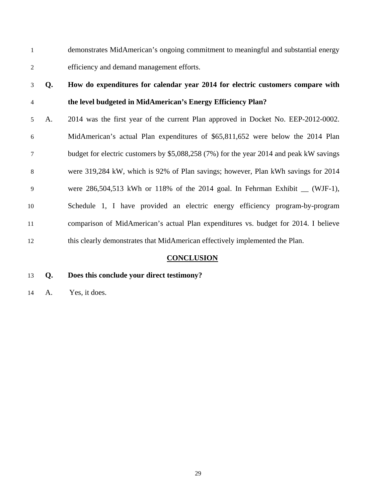1 demonstrates MidAmerican's ongoing commitment to meaningful and substantial energy 2 efficiency and demand management efforts.

# 3 **Q. How do expenditures for calendar year 2014 for electric customers compare with**  4 **the level budgeted in MidAmerican's Energy Efficiency Plan?**

5 A. 2014 was the first year of the current Plan approved in Docket No. EEP-2012-0002. 6 MidAmerican's actual Plan expenditures of \$65,811,652 were below the 2014 Plan 7 budget for electric customers by \$5,088,258 (7%) for the year 2014 and peak kW savings 8 were 319,284 kW, which is 92% of Plan savings; however, Plan kWh savings for 2014 9 were 286,504,513 kWh or 118% of the 2014 goal. In Fehrman Exhibit \_\_ (WJF-1), 10 Schedule 1, I have provided an electric energy efficiency program-by-program 11 comparison of MidAmerican's actual Plan expenditures vs. budget for 2014. I believe 12 this clearly demonstrates that MidAmerican effectively implemented the Plan.

# **CONCLUSION**

- 13 **Q. Does this conclude your direct testimony?**
- 14 A. Yes, it does.